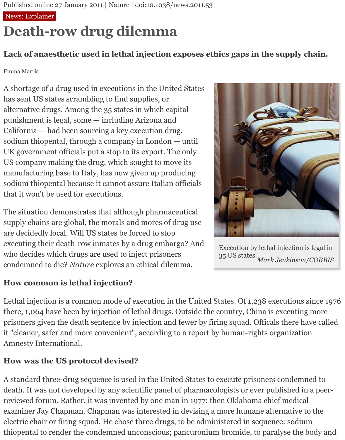#### News: Explainer

# **Death-row drug dilemma**

#### **Lack of anaesthetic used in lethal injection exposes ethics gaps in the supply chain.**

Emma Marris

A shortage of a drug used in executions in the United States has sent US states scrambling to find supplies, or alternative drugs. Among the 35 states in which capital punishment is legal, some — including Arizona and California — had been sourcing a key execution drug, sodium thiopental, through a company in London — until UK government officials put a stop to its export. The only US company making the drug, which sought to move its manufacturing base to Italy, has now given up producing sodium thiopental because it cannot assure Italian officials that it won't be used for executions.

The situation demonstrates that although pharmaceutical supply chains are global, the morals and mores of drug use are decidedly local. Will US states be forced to stop executing their death-row inmates by a drug embargo? And who decides which drugs are used to inject prisoners condemned to die? *Nature* explores an ethical dilemma.

#### **How common is lethal injection?**



*Mark Jenkinson/CORBIS* Execution by lethal injection is legal in 35 US states.

Lethal injection is a common mode of execution in the United States. Of 1,238 executions since 1976 there, 1,064 have been by injection of lethal drugs. Outside the country, China is executing more prisoners given the death sentence by injection and fewer by firing squad. Officals there have called it "cleaner, safer and more convenient", according to a report by human-rights organization Amnesty International.

#### **How was the US protocol devised?**

A standard three-drug sequence is used in the United States to execute prisoners condemned to death. It was not developed by any scientific panel of pharmacologists or ever published in a peerreviewed forum. Rather, it was invented by one man in 1977: then Oklahoma chief medical examiner Jay Chapman. Chapman was interested in devising a more humane alternative to the electric chair or firing squad. He chose three drugs, to be administered in sequence: sodium thiopental to render the condemned unconscious; pancuronium bromide, to paralyse the body and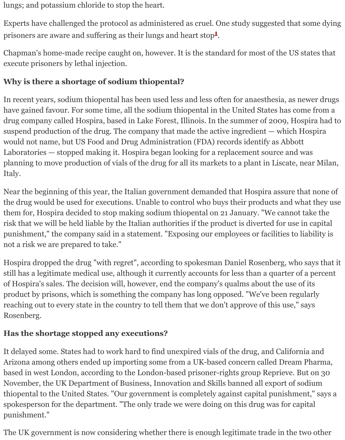execute prisoners by lethal injection.

#### **Why is there a shortage of sodium thiopental?**

In recent years, s[o](http://www.nature.com/news/2011/110121/full/news.2011.53.html#B1)dium thiopental has been used less and less often for anaesthesia, as have gained favour. For some time, all the sodium thiopental in the United States has drug company called Hospira, based in Lake Forest, Illinois. In the summer of 2009, I suspend production of the drug. The company that made the active ingredient  $-$  which would not name, but US Food and Drug Administration (FDA) records identify as Abborton. Laboratories  $-$  stopped making it. Hospira began looking for a replacement source an planning to move production of vials of the drug for all its markets to a plant in Liscate Italy.

Near the beginning of this year, the Italian government demanded that Hospira assure the drug would be used for executions. Unable to control who buys their products and them for, Hospira decided to stop making sodium thiopental on 21 January. "We cann risk that we will be held liable by the Italian authorities if the product is diverted for us punishment," the company said in a statement. "Exposing our employees or facilities to not a risk we are prepared to take."

Hospira dropped the drug "with regret", according to spokesman Daniel Rosenberg, w still has a legitimate medical use, although it currently accounts for less than a quarter of Hospira's sales. The decision will, however, end the company's qualms about the us product by prisons, which is something the company has long opposed. "We've been regularly reaching out to every state in the country to tell them that we don't approve of this use Rosenberg.

#### **Has the shortage stopped any executions?**

It delayed some. States had to work hard to find unexpired vials of the drug, and California Arizona among others ended up importing some from a UK-based concern called Drea based in west London, according to the London-based prisoner-rights group Reprieve. November, the UK Department of Business, Innovation and Skills banned all export of thiopental to the United States. "Our government is completely against capital punish: spokesperson for the department. "The only trade we were doing on this drug was for punishment."

The UK government is now considering whether there is enough legitimate trade in the two other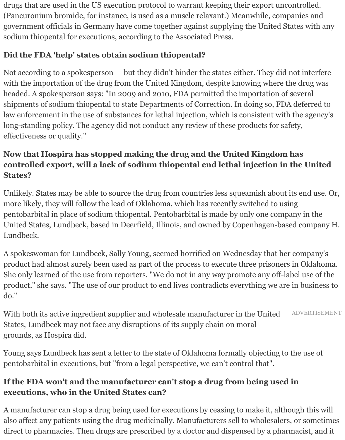drugs that are used in the US execution protocol to warrant keeping their export uncontrolled. (Pancuronium bromide, for instance, is used as a muscle relaxant.) Meanwhile, companies and government officials in Germany have come together against supplying the United States with any sodium thiopental for executions, according to the Associated Press.

## **Did the FDA 'help' states obtain sodium thiopental?**

Not according to a spokesperson — but they didn't hinder the states either. They did not interfere with the importation of the drug from the United Kingdom, despite knowing where the drug was headed. A spokesperson says: "In 2009 and 2010, FDA permitted the importation of several shipments of sodium thiopental to state Departments of Correction. In doing so, FDA deferred to law enforcement in the use of substances for lethal injection, which is consistent with the agency's long-standing policy. The agency did not conduct any review of these products for safety, effectiveness or quality."

#### **Now that Hospira has stopped making the drug and the United Kingdom has controlled export, will a lack of sodium thiopental end lethal injection in the United States?**

Unlikely. States may be able to source the drug from countries less squeamish about its end use. Or, more likely, they will follow the lead of Oklahoma, which has recently switched to using pentobarbital in place of sodium thiopental. Pentobarbital is made by only one company in the United States, Lundbeck, based in Deerfield, Illinois, and owned by Copenhagen-based company H. Lundbeck.

A spokeswoman for Lundbeck, Sally Young, seemed horrified on Wednesday that her company's product had almost surely been used as part of the process to execute three prisoners in Oklahoma. She only learned of the use from reporters. "We do not in any way promote any off-label use of the product," she says. "The use of our product to end lives contradicts everything we are in business to do."

ADVERTISEMENT With both its active ingredient supplier and wholesale manufacturer in the United States, Lundbeck may not face any disruptions of its supply chain on moral grounds, as Hospira did.

Young says Lundbeck has sent a letter to the state of Oklahoma formally objecting to the use of pentobarbital in executions, but "from a legal perspective, we can't control that".

### **If the FDA won't and the manufacturer can't stop a drug from being used in executions, who in the United States can?**

A manufacturer can stop a drug being used for executions by ceasing to make it, although this will also affect any patients using the drug medicinally. Manufacturers sell to wholesalers, or sometimes direct to pharmacies. Then drugs are prescribed by a doctor and dispensed by a pharmacist, and it